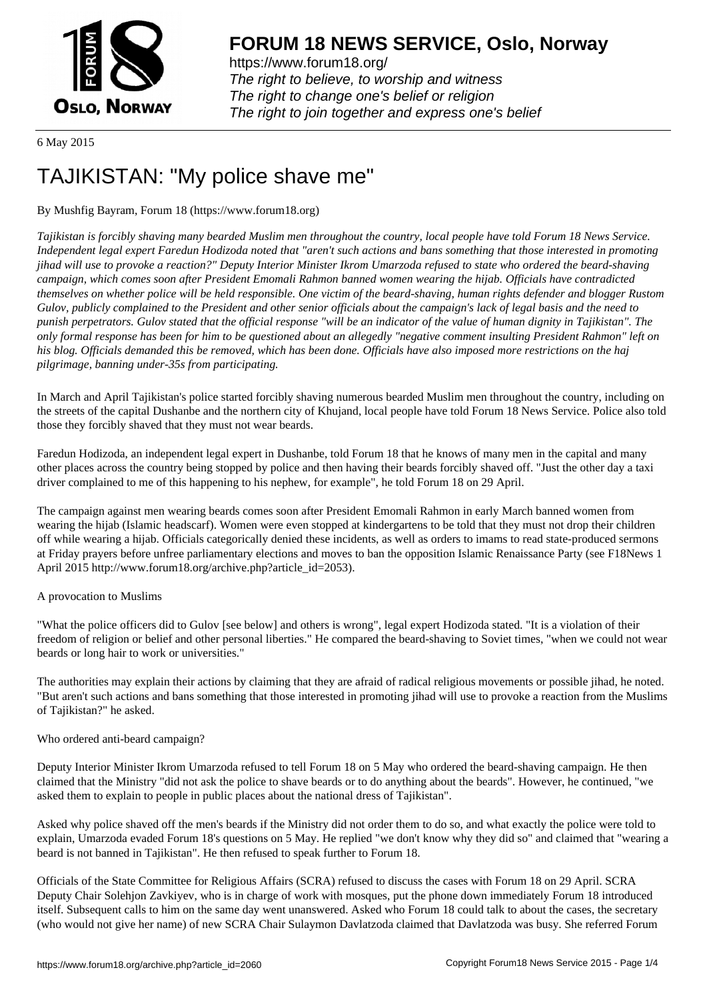

https://www.forum18.org/ The right to believe, to worship and witness The right to change one's belief or religion [The right to join together a](https://www.forum18.org/)nd express one's belief

6 May 2015

# [TAJIKISTAN: "M](https://www.forum18.org)y police shave me"

## By Mushfig Bayram, Forum 18 (https://www.forum18.org)

*Tajikistan is forcibly shaving many bearded Muslim men throughout the country, local people have told Forum 18 News Service. Independent legal expert Faredun Hodizoda noted that "aren't such actions and bans something that those interested in promoting jihad will use to provoke a reaction?" Deputy Interior Minister Ikrom Umarzoda refused to state who ordered the beard-shaving campaign, which comes soon after President Emomali Rahmon banned women wearing the hijab. Officials have contradicted themselves on whether police will be held responsible. One victim of the beard-shaving, human rights defender and blogger Rustom Gulov, publicly complained to the President and other senior officials about the campaign's lack of legal basis and the need to punish perpetrators. Gulov stated that the official response "will be an indicator of the value of human dignity in Tajikistan". The only formal response has been for him to be questioned about an allegedly "negative comment insulting President Rahmon" left on his blog. Officials demanded this be removed, which has been done. Officials have also imposed more restrictions on the haj pilgrimage, banning under-35s from participating.*

In March and April Tajikistan's police started forcibly shaving numerous bearded Muslim men throughout the country, including on the streets of the capital Dushanbe and the northern city of Khujand, local people have told Forum 18 News Service. Police also told those they forcibly shaved that they must not wear beards.

Faredun Hodizoda, an independent legal expert in Dushanbe, told Forum 18 that he knows of many men in the capital and many other places across the country being stopped by police and then having their beards forcibly shaved off. "Just the other day a taxi driver complained to me of this happening to his nephew, for example", he told Forum 18 on 29 April.

The campaign against men wearing beards comes soon after President Emomali Rahmon in early March banned women from wearing the hijab (Islamic headscarf). Women were even stopped at kindergartens to be told that they must not drop their children off while wearing a hijab. Officials categorically denied these incidents, as well as orders to imams to read state-produced sermons at Friday prayers before unfree parliamentary elections and moves to ban the opposition Islamic Renaissance Party (see F18News 1 April 2015 http://www.forum18.org/archive.php?article\_id=2053).

### A provocation to Muslims

"What the police officers did to Gulov [see below] and others is wrong", legal expert Hodizoda stated. "It is a violation of their freedom of religion or belief and other personal liberties." He compared the beard-shaving to Soviet times, "when we could not wear beards or long hair to work or universities."

The authorities may explain their actions by claiming that they are afraid of radical religious movements or possible jihad, he noted. "But aren't such actions and bans something that those interested in promoting jihad will use to provoke a reaction from the Muslims of Tajikistan?" he asked.

### Who ordered anti-beard campaign?

Deputy Interior Minister Ikrom Umarzoda refused to tell Forum 18 on 5 May who ordered the beard-shaving campaign. He then claimed that the Ministry "did not ask the police to shave beards or to do anything about the beards". However, he continued, "we asked them to explain to people in public places about the national dress of Tajikistan".

Asked why police shaved off the men's beards if the Ministry did not order them to do so, and what exactly the police were told to explain, Umarzoda evaded Forum 18's questions on 5 May. He replied "we don't know why they did so" and claimed that "wearing a beard is not banned in Tajikistan". He then refused to speak further to Forum 18.

Officials of the State Committee for Religious Affairs (SCRA) refused to discuss the cases with Forum 18 on 29 April. SCRA Deputy Chair Solehjon Zavkiyev, who is in charge of work with mosques, put the phone down immediately Forum 18 introduced itself. Subsequent calls to him on the same day went unanswered. Asked who Forum 18 could talk to about the cases, the secretary (who would not give her name) of new SCRA Chair Sulaymon Davlatzoda claimed that Davlatzoda was busy. She referred Forum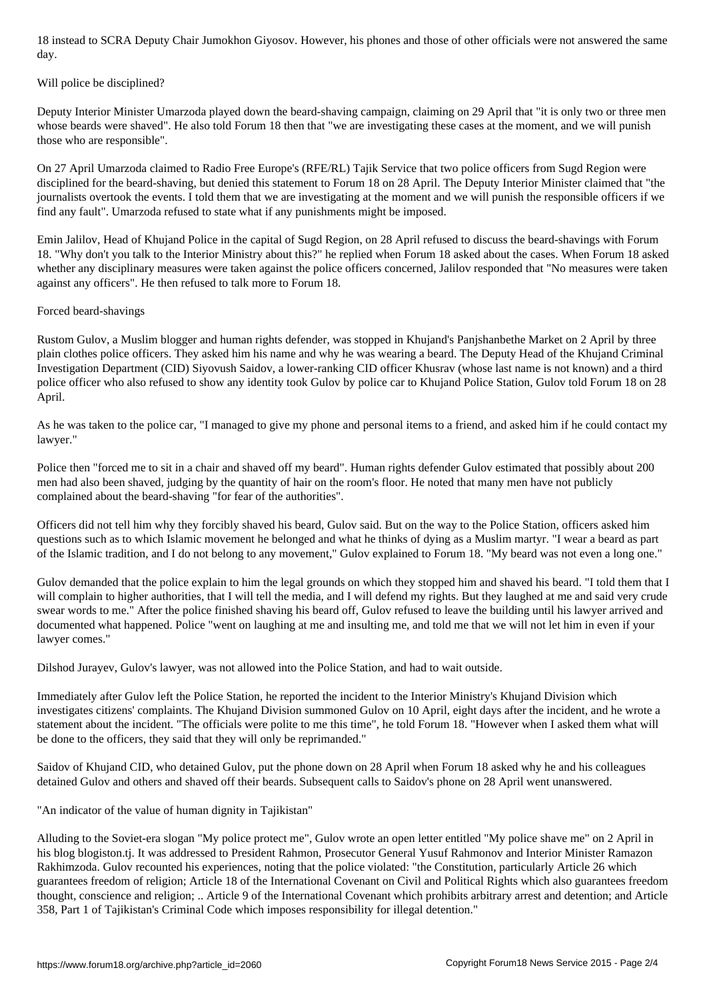Will police be disciplined?

day.

Deputy Interior Minister Umarzoda played down the beard-shaving campaign, claiming on 29 April that "it is only two or three men whose beards were shaved". He also told Forum 18 then that "we are investigating these cases at the moment, and we will punish those who are responsible".

On 27 April Umarzoda claimed to Radio Free Europe's (RFE/RL) Tajik Service that two police officers from Sugd Region were disciplined for the beard-shaving, but denied this statement to Forum 18 on 28 April. The Deputy Interior Minister claimed that "the journalists overtook the events. I told them that we are investigating at the moment and we will punish the responsible officers if we find any fault". Umarzoda refused to state what if any punishments might be imposed.

Emin Jalilov, Head of Khujand Police in the capital of Sugd Region, on 28 April refused to discuss the beard-shavings with Forum 18. "Why don't you talk to the Interior Ministry about this?" he replied when Forum 18 asked about the cases. When Forum 18 asked whether any disciplinary measures were taken against the police officers concerned, Jalilov responded that "No measures were taken against any officers". He then refused to talk more to Forum 18.

#### Forced beard-shavings

Rustom Gulov, a Muslim blogger and human rights defender, was stopped in Khujand's Panjshanbethe Market on 2 April by three plain clothes police officers. They asked him his name and why he was wearing a beard. The Deputy Head of the Khujand Criminal Investigation Department (CID) Siyovush Saidov, a lower-ranking CID officer Khusrav (whose last name is not known) and a third police officer who also refused to show any identity took Gulov by police car to Khujand Police Station, Gulov told Forum 18 on 28 April.

As he was taken to the police car, "I managed to give my phone and personal items to a friend, and asked him if he could contact my lawyer."

Police then "forced me to sit in a chair and shaved off my beard". Human rights defender Gulov estimated that possibly about 200 men had also been shaved, judging by the quantity of hair on the room's floor. He noted that many men have not publicly complained about the beard-shaving "for fear of the authorities".

Officers did not tell him why they forcibly shaved his beard, Gulov said. But on the way to the Police Station, officers asked him questions such as to which Islamic movement he belonged and what he thinks of dying as a Muslim martyr. "I wear a beard as part of the Islamic tradition, and I do not belong to any movement," Gulov explained to Forum 18. "My beard was not even a long one."

Gulov demanded that the police explain to him the legal grounds on which they stopped him and shaved his beard. "I told them that I will complain to higher authorities, that I will tell the media, and I will defend my rights. But they laughed at me and said very crude swear words to me." After the police finished shaving his beard off, Gulov refused to leave the building until his lawyer arrived and documented what happened. Police "went on laughing at me and insulting me, and told me that we will not let him in even if your lawyer comes."

Dilshod Jurayev, Gulov's lawyer, was not allowed into the Police Station, and had to wait outside.

Immediately after Gulov left the Police Station, he reported the incident to the Interior Ministry's Khujand Division which investigates citizens' complaints. The Khujand Division summoned Gulov on 10 April, eight days after the incident, and he wrote a statement about the incident. "The officials were polite to me this time", he told Forum 18. "However when I asked them what will be done to the officers, they said that they will only be reprimanded."

Saidov of Khujand CID, who detained Gulov, put the phone down on 28 April when Forum 18 asked why he and his colleagues detained Gulov and others and shaved off their beards. Subsequent calls to Saidov's phone on 28 April went unanswered.

"An indicator of the value of human dignity in Tajikistan"

Alluding to the Soviet-era slogan "My police protect me", Gulov wrote an open letter entitled "My police shave me" on 2 April in his blog blogiston.tj. It was addressed to President Rahmon, Prosecutor General Yusuf Rahmonov and Interior Minister Ramazon Rakhimzoda. Gulov recounted his experiences, noting that the police violated: "the Constitution, particularly Article 26 which guarantees freedom of religion; Article 18 of the International Covenant on Civil and Political Rights which also guarantees freedom thought, conscience and religion; .. Article 9 of the International Covenant which prohibits arbitrary arrest and detention; and Article 358, Part 1 of Tajikistan's Criminal Code which imposes responsibility for illegal detention."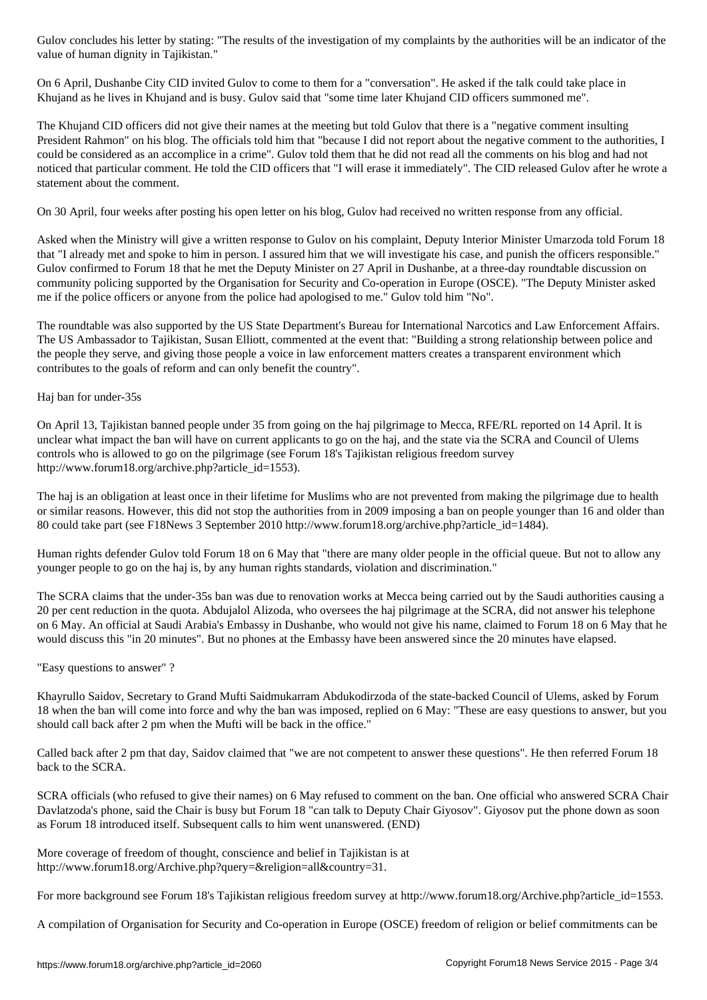value of human dignity in Tajikistan."

On 6 April, Dushanbe City CID invited Gulov to come to them for a "conversation". He asked if the talk could take place in Khujand as he lives in Khujand and is busy. Gulov said that "some time later Khujand CID officers summoned me".

The Khujand CID officers did not give their names at the meeting but told Gulov that there is a "negative comment insulting President Rahmon" on his blog. The officials told him that "because I did not report about the negative comment to the authorities, I could be considered as an accomplice in a crime". Gulov told them that he did not read all the comments on his blog and had not noticed that particular comment. He told the CID officers that "I will erase it immediately". The CID released Gulov after he wrote a statement about the comment.

On 30 April, four weeks after posting his open letter on his blog, Gulov had received no written response from any official.

Asked when the Ministry will give a written response to Gulov on his complaint, Deputy Interior Minister Umarzoda told Forum 18 that "I already met and spoke to him in person. I assured him that we will investigate his case, and punish the officers responsible." Gulov confirmed to Forum 18 that he met the Deputy Minister on 27 April in Dushanbe, at a three-day roundtable discussion on community policing supported by the Organisation for Security and Co-operation in Europe (OSCE). "The Deputy Minister asked me if the police officers or anyone from the police had apologised to me." Gulov told him "No".

The roundtable was also supported by the US State Department's Bureau for International Narcotics and Law Enforcement Affairs. The US Ambassador to Tajikistan, Susan Elliott, commented at the event that: "Building a strong relationship between police and the people they serve, and giving those people a voice in law enforcement matters creates a transparent environment which contributes to the goals of reform and can only benefit the country".

Haj ban for under-35s

On April 13, Tajikistan banned people under 35 from going on the haj pilgrimage to Mecca, RFE/RL reported on 14 April. It is unclear what impact the ban will have on current applicants to go on the haj, and the state via the SCRA and Council of Ulems controls who is allowed to go on the pilgrimage (see Forum 18's Tajikistan religious freedom survey http://www.forum18.org/archive.php?article\_id=1553).

The haj is an obligation at least once in their lifetime for Muslims who are not prevented from making the pilgrimage due to health or similar reasons. However, this did not stop the authorities from in 2009 imposing a ban on people younger than 16 and older than 80 could take part (see F18News 3 September 2010 http://www.forum18.org/archive.php?article\_id=1484).

Human rights defender Gulov told Forum 18 on 6 May that "there are many older people in the official queue. But not to allow any younger people to go on the haj is, by any human rights standards, violation and discrimination."

The SCRA claims that the under-35s ban was due to renovation works at Mecca being carried out by the Saudi authorities causing a 20 per cent reduction in the quota. Abdujalol Alizoda, who oversees the haj pilgrimage at the SCRA, did not answer his telephone on 6 May. An official at Saudi Arabia's Embassy in Dushanbe, who would not give his name, claimed to Forum 18 on 6 May that he would discuss this "in 20 minutes". But no phones at the Embassy have been answered since the 20 minutes have elapsed.

"Easy questions to answer" ?

Khayrullo Saidov, Secretary to Grand Mufti Saidmukarram Abdukodirzoda of the state-backed Council of Ulems, asked by Forum 18 when the ban will come into force and why the ban was imposed, replied on 6 May: "These are easy questions to answer, but you should call back after 2 pm when the Mufti will be back in the office."

Called back after 2 pm that day, Saidov claimed that "we are not competent to answer these questions". He then referred Forum 18 back to the SCRA.

SCRA officials (who refused to give their names) on 6 May refused to comment on the ban. One official who answered SCRA Chair Davlatzoda's phone, said the Chair is busy but Forum 18 "can talk to Deputy Chair Giyosov". Giyosov put the phone down as soon as Forum 18 introduced itself. Subsequent calls to him went unanswered. (END)

More coverage of freedom of thought, conscience and belief in Tajikistan is at http://www.forum18.org/Archive.php?query=&religion=all&country=31.

For more background see Forum 18's Tajikistan religious freedom survey at http://www.forum18.org/Archive.php?article\_id=1553.

A compilation of Organisation for Security and Co-operation in Europe (OSCE) freedom of religion or belief commitments can be